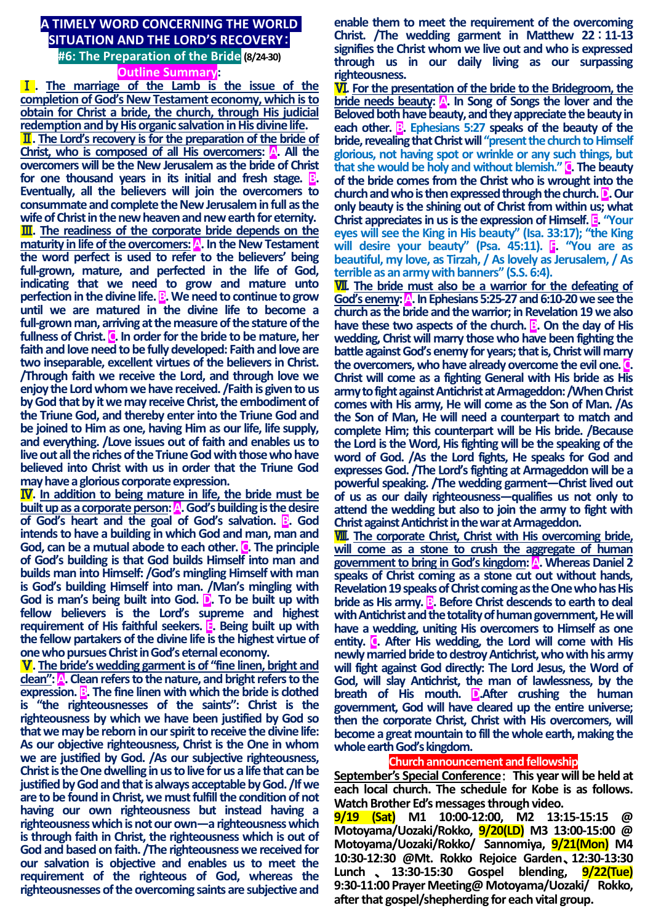## **A TIMELY WORD CONCERNING THE WORLD SITUATION AND THE LORD'S RECOVERY**: **#6: The Preparation of the Bride ( 8/24-30) Outline Summary:**

Ⅰ**. The marriage of the Lamb is the issue of the completion of God's New Testament economy, which is to obtain for Christ a bride, the church, through His judicial redemption and by His organic salvation in His divine life.** Ⅱ**. The Lord's recovery is for the preparation of the bride of Christ, who is composed of all His overcomers:** A. All the **overcomers will be the New Jerusalem as the bride of Christ**  for one thousand years in its initial and fresh stage.  $\mathbf{B}$ . **Eventually, all the believers will join the overcomers to consummate and complete the New Jerusalem in full as the**  wife of Christ in the new heaven and new earth for eternity. Ⅲ**. The readiness of the corporate bride depends on the maturity in life of the overcomers:** A. In the New Testament **the word perfect is used to refer to the believers' being full-grown, mature, and perfected in the life of God, indicating that we need to grow and mature unto perfection in the divine life. <b>B**. We need to continue to grow **until we are matured in the divine life to become a full-grown man, arriving at the measure of the stature of the fullness of Christ. C. In order for the bride to be mature, her faith and love need to be fully developed: Faith and love are two inseparable, excellent virtues of the believers in Christ. /Through faith we receive the Lord, and through love we enjoy the Lord whom we have received. /Faith is given to us by God that by it we may receive Christ, the embodiment of the Triune God, and thereby enter into the Triune God and be joined to Him as one, having Him as our life, life supply, and everything. /Love issues out of faith and enables us to live out all the riches of the Triune God with those who have believed into Christ with us in order that the Triune God may have a glorious corporate expression.**

Ⅳ**. In addition to being mature in life, the bride must be built up as a corporate person: A. God's building is the desire of God's heart and the goal of God's salvation. B. God intends to have a building in which God and man, man and**  God, can be a mutual abode to each other. **C**. The principle **of God's building is that God builds Himself into man and builds man into Himself: /God's mingling Himself with man is God's building Himself into man. /Man's mingling with God is man's being built into God. D. To be built up with fellow believers is the Lord's supreme and highest requirement of His faithful seekers. E. Being built up with the fellow partakers of the divine life is the highest virtue of one who pursues Christ in God's eternal economy.**

Ⅴ**. The bride's wedding garment is of "fine linen, bright and clean": A. Clean refers to the nature, and bright refers to the expression. B**. The fine linen with which the bride is clothed **is "the righteousnesses of the saints": Christ is the righteousness by which we have been justified by God so that we may be reborn in our spirit to receive the divine life: As our objective righteousness, Christ is the One in whom we are justified by God. /As our subjective righteousness, Christ is the One dwelling in us to live for us a life that can be justified by God and that is always acceptable by God. /If we are to be found in Christ, we must fulfill the condition of not having our own righteousness but instead having a righteousness which is not our own—a righteousness which is through faith in Christ, the righteousness which is out of God and based on faith. /The righteousness we received for our salvation is objective and enables us to meet the requirement of the righteous of God, whereas the righteousnesses of the overcoming saints are subjective and** 

**enable them to meet the requirement of the overcoming Christ. /The wedding garment in Matthew 22**:**11-13 signifies the Christ whom we live out and who is expressed through us in our daily living as our surpassing righteousness.**

Ⅵ**. For the presentation of the bride to the Bridegroom, the bride needs beauty: A. In Song of Songs the lover and the Beloved both have beauty, and they appreciate the beauty in each other. B**. Ephesians 5:27 speaks of the beauty of the **bride, revealing that Christ will "present the church to Himself glorious, not having spot or wrinkle or any such things, but that she would be holy and without blemish." C. The beauty of the bride comes from the Christ who is wrought into the church and who is then expressed through the church. D. Our only beauty is the shining out of Christ from within us; what Christ appreciates in us is the expression of Himself. E. "Your eyes will see the King in His beauty" (Isa. 33:17); "the King will desire your beauty" (Psa. 45:11). F. "You are as beautiful, my love, as Tirzah, / As lovely as Jerusalem, / As terrible as an army with banners" (S.S. 6:4).**

Ⅶ**. The bride must also be a warrior for the defeating of God's enemy: A. In Ephesians 5:25-27and 6:10-20 we see the church as the bride and the warrior; in Revelation 19 we also have these two aspects of the church. B**. On the day of His **wedding, Christ will marry those who have been fighting the battle against God's enemy for years; that is, Christ will marry the overcomers, who have already overcome the evil one. C. Christ will come as a fighting General with His bride as His army to fight against Antichrist at Armageddon: /When Christ comes with His army, He will come as the Son of Man. /As the Son of Man, He will need a counterpart to match and complete Him; this counterpart will be His bride. /Because the Lord is the Word, His fighting will be the speaking of the word of God. /As the Lord fights, He speaks for God and expresses God. /The Lord's fighting at Armageddon will be a powerful speaking. /The wedding garment—Christ lived out of us as our daily righteousness—qualifies us not only to attend the wedding but also to join the army to fight with Christ against Antichrist in the war at Armageddon.**

Ⅷ**. The corporate Christ, Christ with His overcoming bride, will come as a stone to crush the aggregate of human government to bring in God's kingdom: A. Whereas Daniel 2 speaks of Christ coming as a stone cut out without hands, Revelation 19 speaks of Christ coming as the One who has His bride as His army. B. Before Christ descends to earth to deal with Antichrist and the totality of human government, He will have a wedding, uniting His overcomers to Himself as one**  entity. **C**. After His wedding, the Lord will come with His **newly married bride to destroy Antichrist, who with his army will fight against God directly: The Lord Jesus, the Word of God, will slay Antichrist, the man of lawlessness, by the breath of His mouth. D.After crushing the human government, God will have cleared up the entire universe; then the corporate Christ, Christ with His overcomers, will become a great mountain to fill the whole earth, making the whole earth God's kingdom.**

## **Church announcement and fellowship**

**September's Special Conference**: **This year will be held at each local church. The schedule for Kobe is as follows. Watch Brother Ed's messages through video.** 

**9/19 (Sat) M1 10:00-12:00, M2 13:15-15:15 @ Motoyama/Uozaki/Rokko, 9/20(LD) M3 13:00-15:00 @ Motoyama/Uozaki/Rokko/ Sannomiya, 9/21(Mon) M4 10:30-12:30 @Mt. Rokko Rejoice Garden**、**12:30-13:30 Lunch** 、 **13:30-15:30 Gospel blending, 9/22(Tue) 9:30-11:00 Prayer Meeting@ Motoyama/Uozaki/ Rokko, after that gospel/shepherding for each vital group.**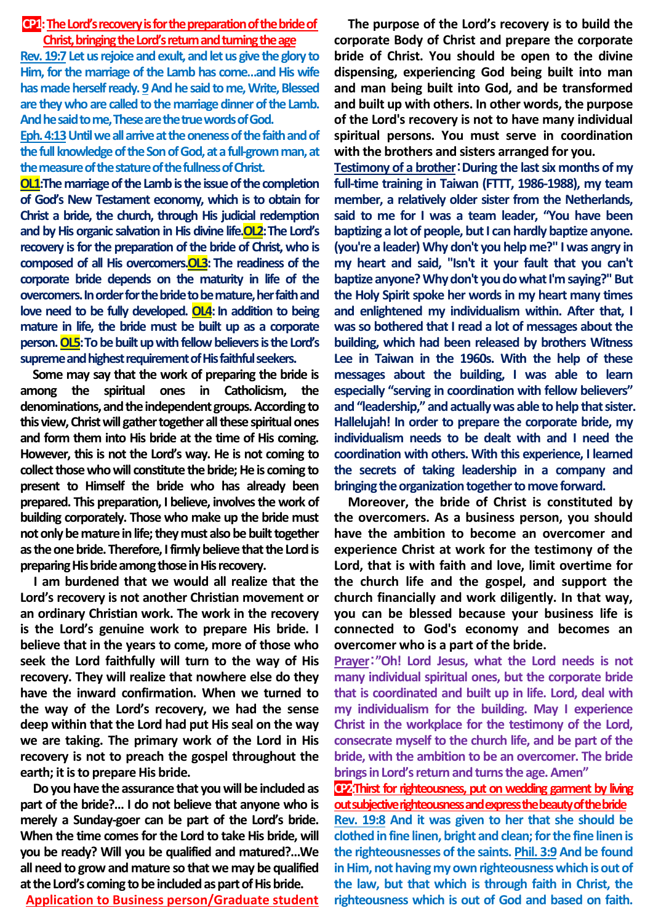## **CP1: The Lord's recovery is for the preparation of the bride of Christ, bringing the Lord's return and turningthe age**

**Rev. 19:7 Letus rejoice and exult, and let us give the glory to Him, for the marriage of the Lamb has come…and His wife has made herself ready.9And he said to me, Write, Blessed are they who are called to the marriage dinner of the Lamb. And he said to me, These arethe true words of God.**

Eph. 4:13 Until we all arrive at the oneness of the faith and of **the full knowledge of the Son of God, at a full-grown man, at the measure of the stature of the fullness of Christ.**

**OL1:** The marriage of the Lamb is the issue of the completion **of God's New Testament economy, which is to obtain for Christ a bride, the church, through His judicial redemption and by His organic salvation in His divine life.OL2:The Lord's recovery is for the preparation of the bride of Christ, who is composed of all His overcomers.OL3: The readiness of the corporate bride depends on the maturity in life of the overcomers. In order for the bride to be mature, her faith and love need to be fully developed. OL4: In addition to being mature in life, the bride must be built up as a corporate person. OL5:To be built up with fellow believers is the Lord's supreme and highest requirement of His faithful seekers.**

**Some may say that the work of preparing the bride is among the spiritual ones in Catholicism, the denominations, and the independent groups. According to this view, Christ will gather together all these spiritual ones and form them into His bride at the time of His coming. However, this is not the Lord's way. He is not coming to collect those who will constitute the bride; He is coming to present to Himself the bride who has already been prepared. This preparation, I believe, involves the work of building corporately. Those who make up the bride must not only be mature in life; they must also be built together as the one bride. Therefore, I firmly believe that the Lord is preparing His bride among those in His recovery.**

**I am burdened that we would all realize that the Lord's recovery is not another Christian movement or an ordinary Christian work. The work in the recovery is the Lord's genuine work to prepare His bride. I believe that in the years to come, more of those who seek the Lord faithfully will turn to the way of His recovery. They will realize that nowhere else do they have the inward confirmation. When we turned to the way of the Lord's recovery, we had the sense deep within that the Lord had put His seal on the way we are taking. The primary work of the Lord in His recovery is not to preach the gospel throughout the earth; it is to prepare His bride.**

**Do you have the assurance that you will be included as part of the bride?… I do not believe that anyone who is merely a Sunday-goer can be part of the Lord's bride. When the time comes for the Lord to take His bride, will you be ready? Will you be qualified and matured?…We all need to grow and mature so that we may be qualified at the Lord's coming to be included as part of His bride.**

**Application to Business person/Graduate student**

**The purpose of the Lord's recovery is to build the corporate Body of Christ and prepare the corporate bride of Christ. You should be open to the divine dispensing, experiencing God being built into man and man being built into God, and be transformed and built up with others. In other words, the purpose of the Lord's recovery is not to have many individual spiritual persons. You must serve in coordination with the brothers and sisters arranged for you.** 

**Testimony of a brother**:**During the last six months of my full-time training in Taiwan (FTTT, 1986-1988), my team member, a relatively older sister from the Netherlands, said to me for I was a team leader, "You have been baptizing a lot of people, but I can hardly baptize anyone. (you're a leader) Why don't you help me?" I was angry in my heart and said, "Isn't it your fault that you can't**  baptize anyone? Why don't you do what I'm saying?" But **the Holy Spirit spoke her words in my heart many times and enlightened my individualism within. After that, I was so bothered that I read a lot of messages about the building, which had been released by brothers Witness Lee in Taiwan in the 1960s. With the help of these messages about the building, I was able to learn especially "serving in coordination with fellow believers" and "leadership," and actually was able to help that sister. Hallelujah! In order to prepare the corporate bride, my individualism needs to be dealt with and I need the coordination with others. With this experience, I learned the secrets of taking leadership in a company and bringing the organization together to move forward.**

**Moreover, the bride of Christ is constituted by the overcomers. As a business person, you should have the ambition to become an overcomer and experience Christ at work for the testimony of the Lord, that is with faith and love, limit overtime for the church life and the gospel, and support the church financially and work diligently. In that way, you can be blessed because your business life is connected to God's economy and becomes an overcomer who is a part of the bride.** 

**Prayer**:**"Oh! Lord Jesus, what the Lord needs is not many individual spiritual ones, but the corporate bride that is coordinated and built up in life. Lord, deal with my individualism for the building. May I experience Christ in the workplace for the testimony of the Lord, consecrate myself to the church life, and be part of the bride, with the ambition to be an overcomer. The bride brings in Lord's return and turns the age. Amen"**

**CP2:Thirst for righteousness, put on wedding garment by living out subjective righteousness and express the beauty of the bride**

**Rev. 19:8 And it was given to her that she should be clothed in fine linen, bright and clean; for the fine linen is**  the righteousnesses of the saints. Phil. 3:9 And be found **in Him, not having my own righteousness which is out of the law, but that which is through faith in Christ, the righteousness which is out of God and based on faith.**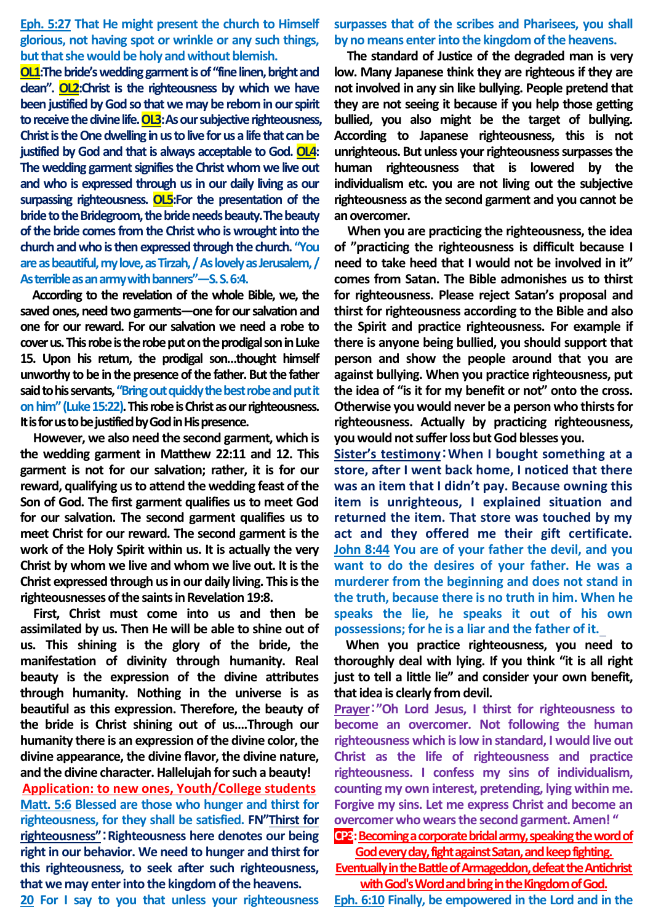**Eph. 5:27 That He might present the church to Himself glorious, not having spot or wrinkle or any such things, but that she would be holy and without blemish.**

**OL1:The bride's wedding garment is of "fine linen, bright and clean". OL2:Christ is the righteousness by which we have been justified by God so that we may be reborn in our spirit to receive the divine life. OL3:As our subjective righteousness, Christ is the One dwelling in us to live for us a life that can be justified by God and that is always acceptable to God. OL4: The wedding garment signifies the Christ whom we live out and who is expressed through us in our daily living as our surpassing righteousness. OL5:For the presentation of the bride to the Bridegroom, the bride needs beauty.The beauty of the bride comes from the Christ who is wrought into the church and who is then expressed through the church. "You are as beautiful, my love, as Tirzah, / As lovely as Jerusalem, / As terrible as an army with banners"—S. S. 6:4.**

**According to the revelation of the whole Bible, we, the saved ones, need two garments—one for our salvation and one for our reward. For our salvation we need a robe to cover us. This robe is the robe put on the prodigal son in Luke 15. Upon his return, the prodigal son…thought himself unworthy to be in the presence of the father. But the father said to his servants, "Bring out quickly the best robe and put it on him"** (Luke 15:22). This robe is Christ as our righteousness. **It is for us to be justified by God in His presence.** 

**However, we also need the second garment, which is the wedding garment in Matthew 22:11 and 12. This garment is not for our salvation; rather, it is for our reward, qualifying us to attend the wedding feast of the Son of God. The first garment qualifies us to meet God for our salvation. The second garment qualifies us to meet Christ for our reward. The second garment is the work of the Holy Spirit within us. It is actually the very Christ by whom we live and whom we live out. It is the Christ expressed through us in our daily living. This is the righteousnesses of the saints in Revelation 19:8.** 

**First, Christ must come into us and then be assimilated by us. Then He will be able to shine out of us. This shining is the glory of the bride, the manifestation of divinity through humanity. Real beauty is the expression of the divine attributes through humanity. Nothing in the universe is as beautiful as this expression. Therefore, the beauty of the bride is Christ shining out of us….Through our humanity there is an expression of the divine color, the divine appearance, the divine flavor, the divine nature, and the divine character. Hallelujah for such a beauty!**

**Application: to new ones, Youth/College students Matt. 5:6 Blessed are those who hunger and thirst for righteousness, for they shall be satisfied. FN"Thirst for righteousness"**:**Righteousness here denotes our being right in our behavior. We need to hunger and thirst for this righteousness, to seek after such righteousness, that we may enter into the kingdom of the heavens.**

**20 For I say to you that unless your righteousness** 

**surpasses that of the scribes and Pharisees, you shall by no means enter into the kingdom of the heavens.** 

**The standard of Justice of the degraded man is very low. Many Japanese think they are righteous if they are not involved in any sin like bullying. People pretend that they are not seeing it because if you help those getting bullied, you also might be the target of bullying. According to Japanese righteousness, this is not unrighteous. But unless your righteousness surpassesthe human righteousness that is lowered by the individualism etc. you are not living out the subjective righteousness as the second garment and you cannot be an overcomer.**

**When you are practicing the righteousness, the idea of "practicing the righteousness is difficult because I need to take heed that I would not be involved in it" comes from Satan. The Bible admonishes us to thirst for righteousness. Please reject Satan's proposal and thirst for righteousness according to the Bible and also the Spirit and practice righteousness. For example if there is anyone being bullied, you should support that person and show the people around that you are against bullying. When you practice righteousness, put the idea of "is it for my benefit or not" onto the cross. Otherwise you would never be a person who thirstsfor righteousness. Actually by practicing righteousness, you would notsuffer loss but God blesses you.**

**Sister's testimony**:**When I bought something at a store, after I went back home, I noticed that there was an item that I didn't pay. Because owning this item is unrighteous, I explained situation and returned the item. That store was touched by my act and they offered me their gift certificate. John 8:44 You are of your father the devil, and you want to do the desires of your father. He was a murderer from the beginning and does not stand in the truth, because there is no truth in him. When he speaks the lie, he speaks it out of his own possessions; for he is a liar and the father of it.**

**When you practice righteousness, you need to thoroughly deal with lying. If you think "it is all right just to tell a little lie" and consider your own benefit, that idea is clearly from devil.** 

**Prayer**:**"Oh Lord Jesus, I thirst for righteousness to become an overcomer. Not following the human righteousness which is low in standard, I would live out Christ as the life of righteousness and practice righteousness. I confess my sins of individualism, counting my own interest, pretending, lying within me. Forgive my sins. Let me express Christ and become an overcomer who wears the second garment. Amen! "**

**CP3**: Becoming a corporate bridal army, speaking the word of **God every day, fight against Satan, and keep fighting.** 

**Eventually in the Battle of Armageddon, defeat the Antichrist with God's Word and bring in the Kingdom of God.**

**Eph. 6:10 Finally, be empowered in the Lord and in the**